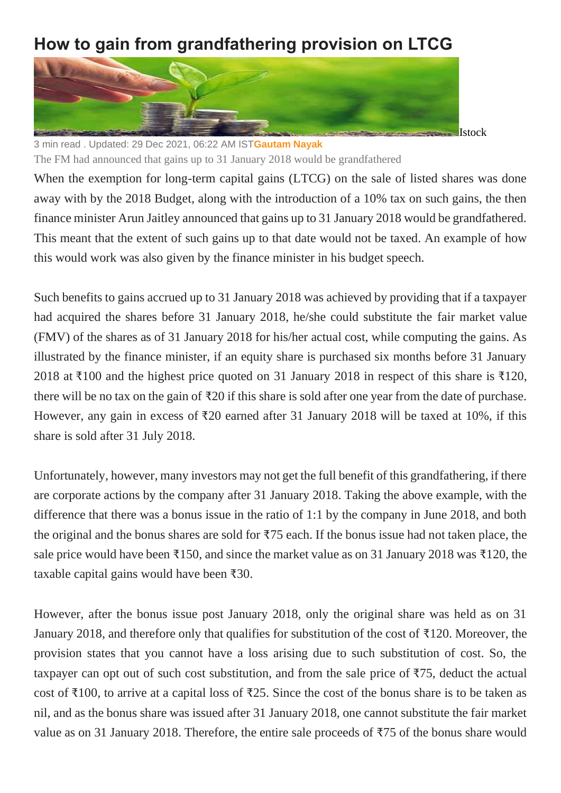## **How to gain from grandfathering provision on LTCG**



3 min read . Updated: 29 Dec 2021, 06:22 AM IST**[Gautam Nayak](https://www.livemint.com/Search/Link/Author/Gautam-Nayak)**

The FM had announced that gains up to 31 January 2018 would be grandfathered

When the exemption for long-term capital gains (LTCG) on the sale of listed shares was done away with by the 2018 Budget, along with the introduction of a 10% tax on such gains, the then finance minister Arun Jaitley announced that gains up to 31 January 2018 would be grandfathered. This meant that the extent of such gains up to that date would not be taxed. An example of how this would work was also given by the finance minister in his budget speech.

Such benefits to gains accrued up to 31 January 2018 was achieved by providing that if a taxpayer had acquired the shares before 31 January 2018, he/she could substitute the fair market value (FMV) of the shares as of 31 January 2018 for his/her actual cost, while computing the gains. As illustrated by the finance minister, if an equity share is purchased six months before 31 January 2018 at ₹100 and the highest price quoted on 31 January 2018 in respect of this share is ₹120, there will be no tax on the gain of ₹20 if this share is sold after one year from the date of purchase. However, any gain in excess of ₹20 earned after 31 January 2018 will be taxed at 10%, if this share is sold after 31 July 2018.

Unfortunately, however, many investors may not get the full benefit of this grandfathering, if there are corporate actions by the company after 31 January 2018. Taking the above example, with the difference that there was a bonus issue in the ratio of 1:1 by the company in June 2018, and both the original and the bonus shares are sold for ₹75 each. If the bonus issue had not taken place, the sale price would have been ₹150, and since the market value as on 31 January 2018 was ₹120, the taxable capital gains would have been ₹30.

However, after the bonus issue post January 2018, only the original share was held as on 31 January 2018, and therefore only that qualifies for substitution of the cost of ₹120. Moreover, the provision states that you cannot have a loss arising due to such substitution of cost. So, the taxpayer can opt out of such cost substitution, and from the sale price of ₹75, deduct the actual cost of ₹100, to arrive at a capital loss of ₹25. Since the cost of the bonus share is to be taken as nil, and as the bonus share was issued after 31 January 2018, one cannot substitute the fair market value as on 31 January 2018. Therefore, the entire sale proceeds of ₹75 of the bonus share would